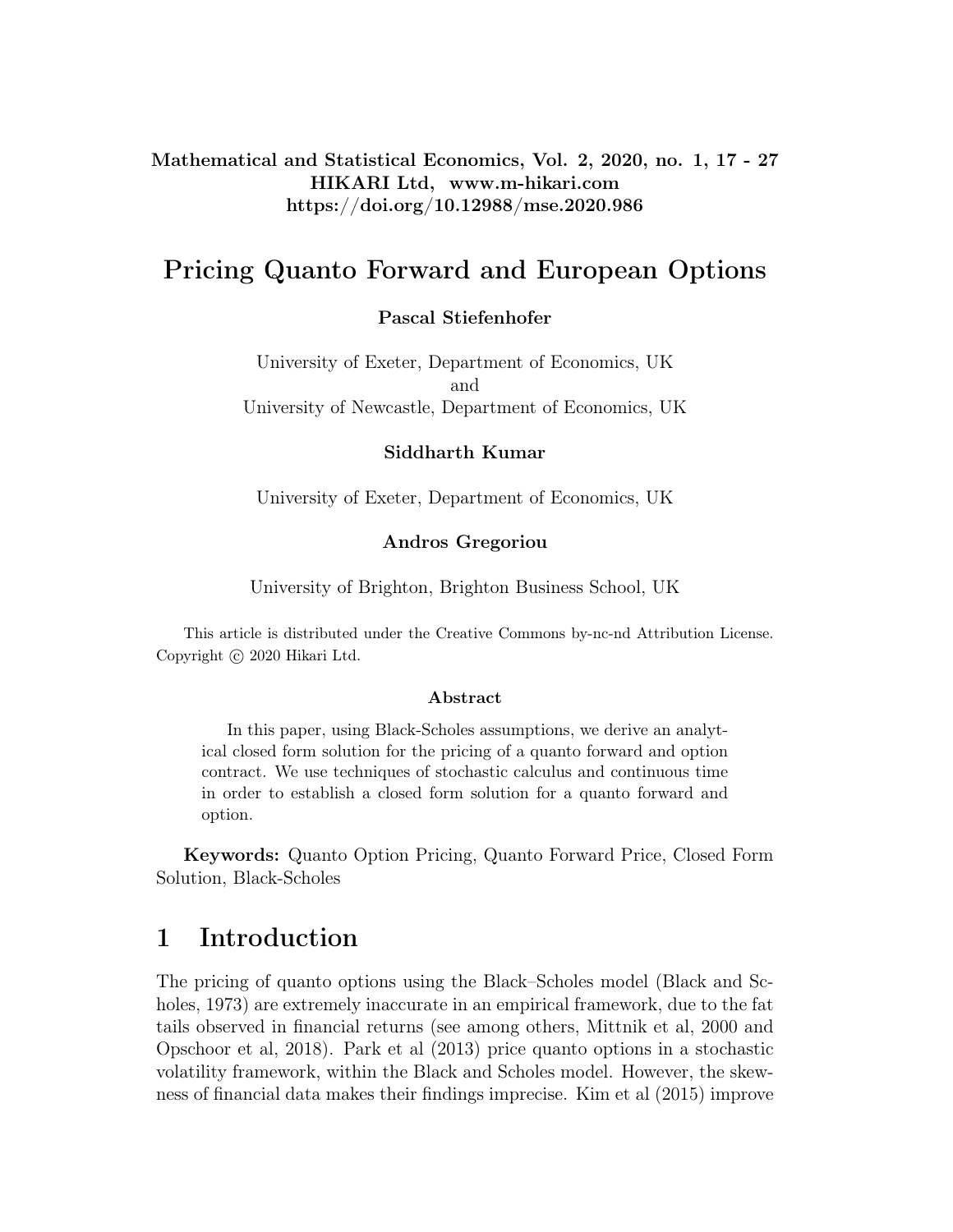Mathematical and Statistical Economics, Vol. 2, 2020, no. 1, 17 - 27 HIKARI Ltd, www.m-hikari.com https://doi.org/10.12988/mse.2020.986

# Pricing Quanto Forward and European Options

## Pascal Stiefenhofer

University of Exeter, Department of Economics, UK and University of Newcastle, Department of Economics, UK

## Siddharth Kumar

University of Exeter, Department of Economics, UK

### Andros Gregoriou

University of Brighton, Brighton Business School, UK

This article is distributed under the Creative Commons by-nc-nd Attribution License. Copyright © 2020 Hikari Ltd.

#### Abstract

In this paper, using Black-Scholes assumptions, we derive an analytical closed form solution for the pricing of a quanto forward and option contract. We use techniques of stochastic calculus and continuous time in order to establish a closed form solution for a quanto forward and option.

Keywords: Quanto Option Pricing, Quanto Forward Price, Closed Form Solution, Black-Scholes

# 1 Introduction

The pricing of quanto options using the Black–Scholes model (Black and Scholes, 1973) are extremely inaccurate in an empirical framework, due to the fat tails observed in financial returns (see among others, Mittnik et al, 2000 and Opschoor et al, 2018). Park et al (2013) price quanto options in a stochastic volatility framework, within the Black and Scholes model. However, the skewness of financial data makes their findings imprecise. Kim et al (2015) improve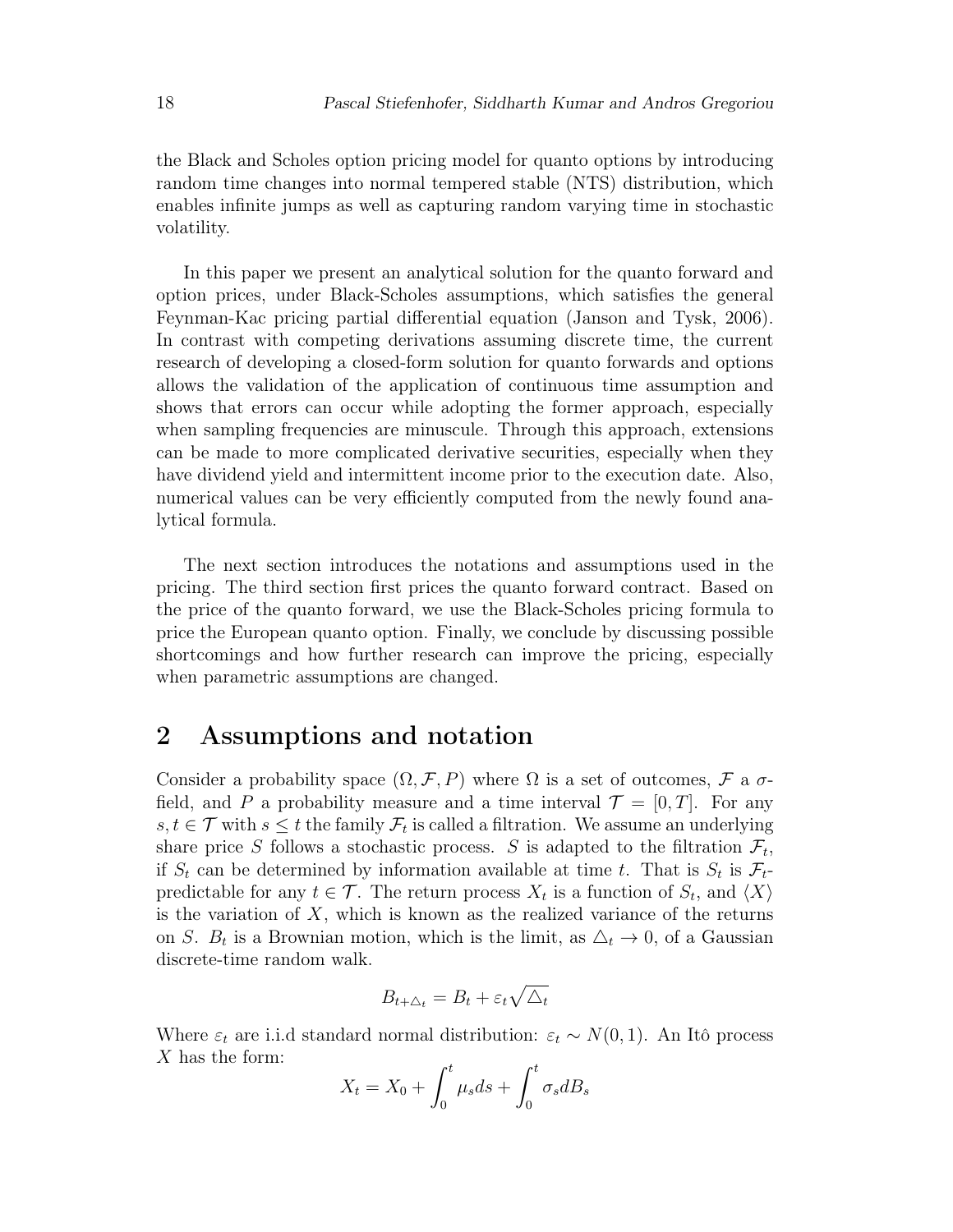the Black and Scholes option pricing model for quanto options by introducing random time changes into normal tempered stable (NTS) distribution, which enables infinite jumps as well as capturing random varying time in stochastic volatility.

In this paper we present an analytical solution for the quanto forward and option prices, under Black-Scholes assumptions, which satisfies the general Feynman-Kac pricing partial differential equation (Janson and Tysk, 2006). In contrast with competing derivations assuming discrete time, the current research of developing a closed-form solution for quanto forwards and options allows the validation of the application of continuous time assumption and shows that errors can occur while adopting the former approach, especially when sampling frequencies are minuscule. Through this approach, extensions can be made to more complicated derivative securities, especially when they have dividend yield and intermittent income prior to the execution date. Also, numerical values can be very efficiently computed from the newly found analytical formula.

The next section introduces the notations and assumptions used in the pricing. The third section first prices the quanto forward contract. Based on the price of the quanto forward, we use the Black-Scholes pricing formula to price the European quanto option. Finally, we conclude by discussing possible shortcomings and how further research can improve the pricing, especially when parametric assumptions are changed.

## 2 Assumptions and notation

Consider a probability space  $(\Omega, \mathcal{F}, P)$  where  $\Omega$  is a set of outcomes,  $\mathcal{F}$  a  $\sigma$ field, and P a probability measure and a time interval  $\mathcal{T} = [0, T]$ . For any  $s, t \in \mathcal{T}$  with  $s \leq t$  the family  $\mathcal{F}_t$  is called a filtration. We assume an underlying share price S follows a stochastic process. S is adapted to the filtration  $\mathcal{F}_t$ , if  $S_t$  can be determined by information available at time t. That is  $S_t$  is  $\mathcal{F}_t$ predictable for any  $t \in \mathcal{T}$ . The return process  $X_t$  is a function of  $S_t$ , and  $\langle X \rangle$ is the variation of  $X$ , which is known as the realized variance of the returns on S.  $B_t$  is a Brownian motion, which is the limit, as  $\Delta_t \to 0$ , of a Gaussian discrete-time random walk.

$$
B_{t+\Delta_t} = B_t + \varepsilon_t \sqrt{\Delta_t}
$$

Where  $\varepsilon_t$  are i.i.d standard normal distribution:  $\varepsilon_t \sim N(0, 1)$ . An Itô process X has the form:

$$
X_t = X_0 + \int_0^t \mu_s ds + \int_0^t \sigma_s dB_s
$$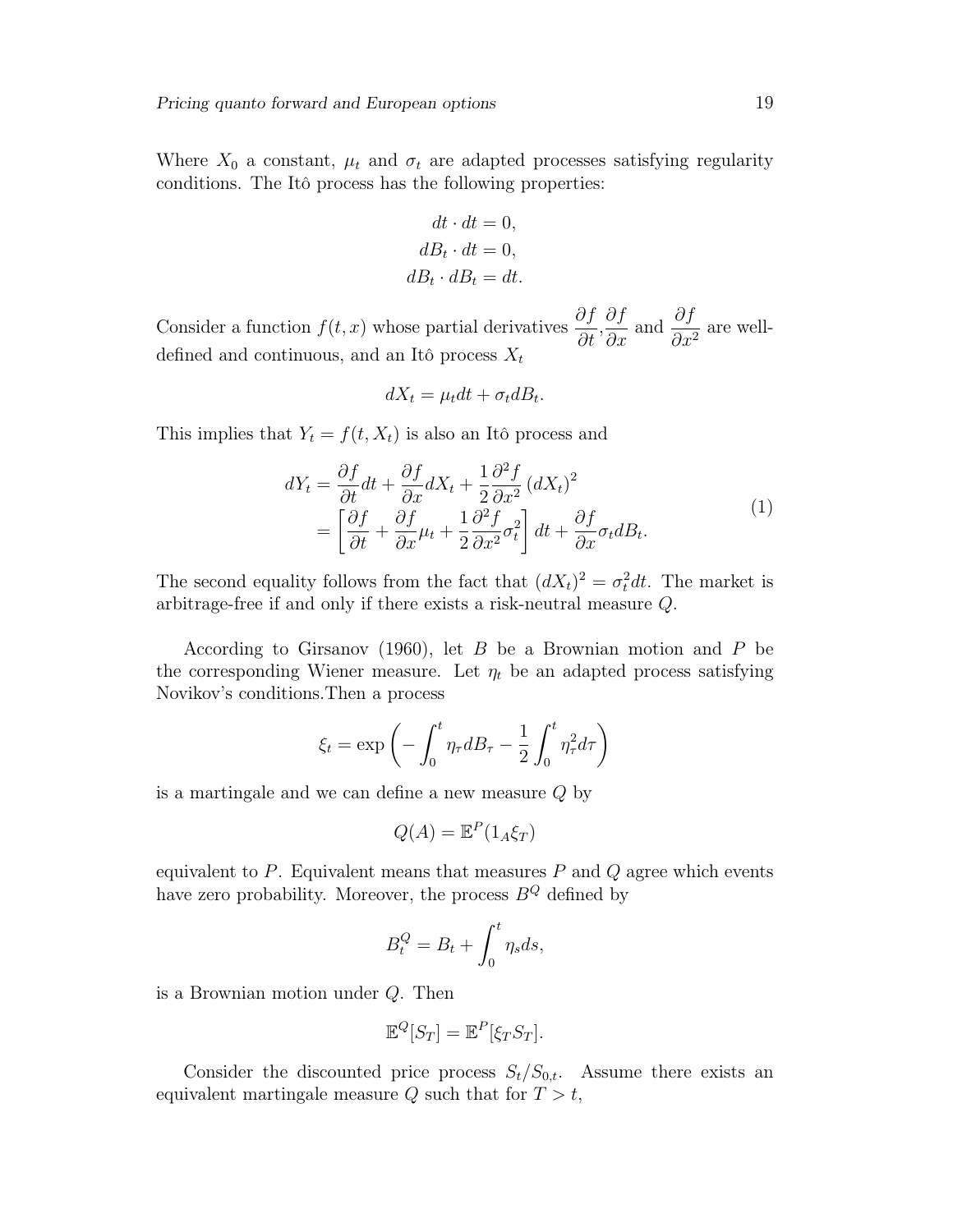Where  $X_0$  a constant,  $\mu_t$  and  $\sigma_t$  are adapted processes satisfying regularity conditions. The Itô process has the following properties:

$$
dt \cdot dt = 0,
$$
  

$$
dB_t \cdot dt = 0,
$$
  

$$
dB_t \cdot dB_t = dt.
$$

Consider a function  $f(t, x)$  whose partial derivatives  $\frac{\partial f}{\partial t}$  $\frac{\partial f}{\partial t}$ ,  $\frac{\partial f}{\partial x}$  and  $\frac{\partial f}{\partial x^2}$  are welldefined and continuous, and an Itô process  $X_t$ 

$$
dX_t = \mu_t dt + \sigma_t dB_t.
$$

This implies that  $Y_t = f(t, X_t)$  is also an Itô process and

$$
dY_t = \frac{\partial f}{\partial t} dt + \frac{\partial f}{\partial x} dX_t + \frac{1}{2} \frac{\partial^2 f}{\partial x^2} (dX_t)^2
$$
  
= 
$$
\left[ \frac{\partial f}{\partial t} + \frac{\partial f}{\partial x} \mu_t + \frac{1}{2} \frac{\partial^2 f}{\partial x^2} \sigma_t^2 \right] dt + \frac{\partial f}{\partial x} \sigma_t dB_t.
$$
 (1)

The second equality follows from the fact that  $(dX_t)^2 = \sigma_t^2 dt$ . The market is arbitrage-free if and only if there exists a risk-neutral measure Q.

According to Girsanov (1960), let  $B$  be a Brownian motion and  $P$  be the corresponding Wiener measure. Let  $\eta_t$  be an adapted process satisfying Novikov's conditions.Then a process

$$
\xi_t = \exp\left(-\int_0^t \eta_\tau dB_\tau - \frac{1}{2} \int_0^t \eta_\tau^2 d\tau\right)
$$

is a martingale and we can define a new measure Q by

$$
Q(A) = \mathbb{E}^P(1_A \xi_T)
$$

equivalent to  $P$ . Equivalent means that measures  $P$  and  $Q$  agree which events have zero probability. Moreover, the process  $B^{Q}$  defined by

$$
B_t^Q = B_t + \int_0^t \eta_s ds,
$$

is a Brownian motion under Q. Then

$$
\mathbb{E}^Q[S_T] = \mathbb{E}^P[\xi_T S_T].
$$

Consider the discounted price process  $S_t/S_{0,t}$ . Assume there exists an equivalent martingale measure  $Q$  such that for  $T > t$ ,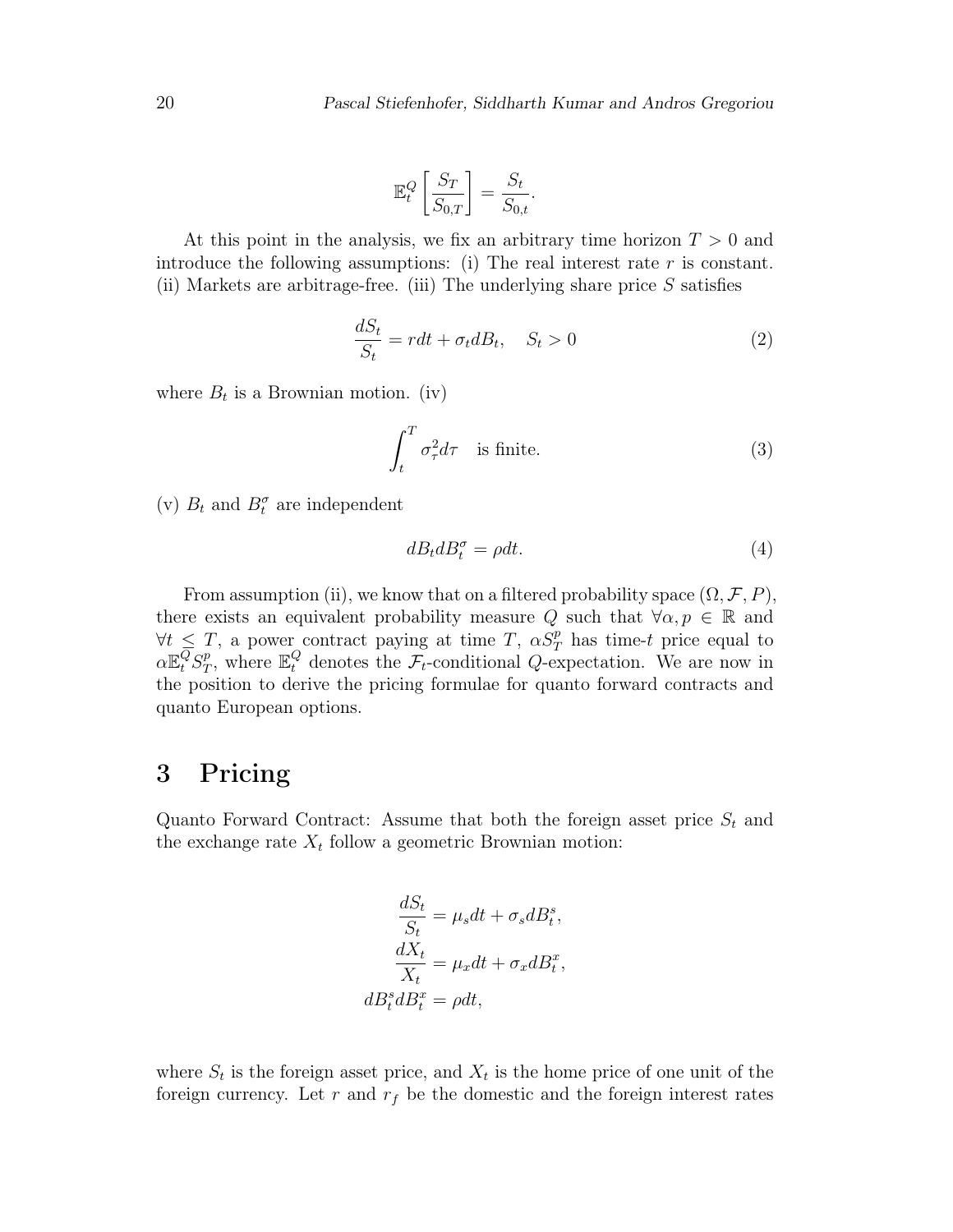$$
\mathbb{E}_t^Q \left[ \frac{S_T}{S_{0,T}} \right] = \frac{S_t}{S_{0,t}}.
$$

At this point in the analysis, we fix an arbitrary time horizon  $T > 0$  and introduce the following assumptions: (i) The real interest rate  $r$  is constant. (ii) Markets are arbitrage-free. (iii) The underlying share price  $S$  satisfies

$$
\frac{dS_t}{S_t} = rdt + \sigma_t dB_t, \quad S_t > 0 \tag{2}
$$

where  $B_t$  is a Brownian motion. (iv)

$$
\int_{t}^{T} \sigma_{\tau}^{2} d\tau \quad \text{is finite.} \tag{3}
$$

(v)  $B_t$  and  $B_t^{\sigma}$  are independent

$$
dB_t dB_t^{\sigma} = \rho dt. \tag{4}
$$

From assumption (ii), we know that on a filtered probability space  $(\Omega, \mathcal{F}, P)$ , there exists an equivalent probability measure Q such that  $\forall \alpha, p \in \mathbb{R}$  and  $\forall t \leq T$ , a power contract paying at time T,  $\alpha S_T^p$  has time-t price equal to  $\alpha \mathbb{E}^Q_t S^p_T$ <sup>p</sup><sub>T</sub>, where  $\mathbb{E}_{t}^{Q}$  denotes the  $\mathcal{F}_{t}$ -conditional *Q*-expectation. We are now in the position to derive the pricing formulae for quanto forward contracts and quanto European options.

# 3 Pricing

Quanto Forward Contract: Assume that both the foreign asset price  $S_t$  and the exchange rate  $X_t$  follow a geometric Brownian motion:

$$
\frac{dS_t}{S_t} = \mu_s dt + \sigma_s dB_t^s,
$$
  

$$
\frac{dX_t}{X_t} = \mu_x dt + \sigma_x dB_t^x,
$$
  

$$
dB_t^s dB_t^x = \rho dt,
$$

where  $S_t$  is the foreign asset price, and  $X_t$  is the home price of one unit of the foreign currency. Let r and  $r_f$  be the domestic and the foreign interest rates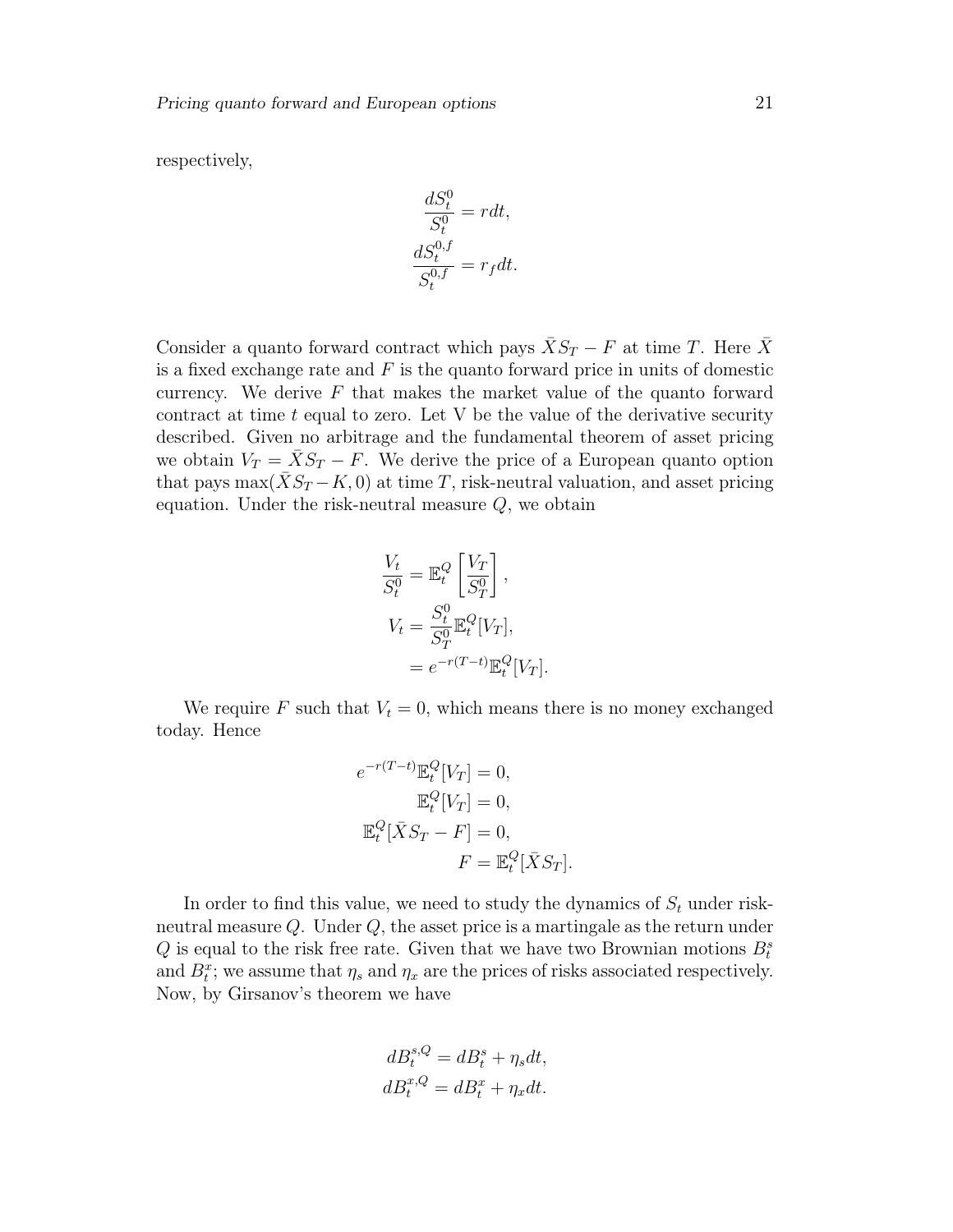respectively,

$$
\frac{dS_t^0}{S_t^0} = rdt,
$$
  

$$
\frac{dS_t^{0,f}}{S_t^{0,f}} = r_f dt.
$$

Consider a quanto forward contract which pays  $\bar{X}S_T - F$  at time T. Here  $\bar{X}$ is a fixed exchange rate and  $F$  is the quanto forward price in units of domestic currency. We derive  $F$  that makes the market value of the quanto forward contract at time  $t$  equal to zero. Let V be the value of the derivative security described. Given no arbitrage and the fundamental theorem of asset pricing we obtain  $V_T = \overline{X}S_T - F$ . We derive the price of a European quanto option that pays  $\max(\bar{X}S_T - K, 0)$  at time T, risk-neutral valuation, and asset pricing equation. Under the risk-neutral measure  $Q$ , we obtain

$$
\frac{V_t}{S_t^0} = \mathbb{E}_t^Q \left[ \frac{V_T}{S_T^0} \right],
$$
  
\n
$$
V_t = \frac{S_t^0}{S_T^0} \mathbb{E}_t^Q [V_T],
$$
  
\n
$$
= e^{-r(T-t)} \mathbb{E}_t^Q [V_T].
$$

We require F such that  $V_t = 0$ , which means there is no money exchanged today. Hence

$$
e^{-r(T-t)} \mathbb{E}_t^Q [V_T] = 0,
$$
  
\n
$$
\mathbb{E}_t^Q [V_T] = 0,
$$
  
\n
$$
\mathbb{E}_t^Q [\bar{X}S_T - F] = 0,
$$
  
\n
$$
F = \mathbb{E}_t^Q [\bar{X}S_T].
$$

In order to find this value, we need to study the dynamics of  $S_t$  under riskneutral measure Q. Under Q, the asset price is a martingale as the return under  $Q$  is equal to the risk free rate. Given that we have two Brownian motions  $B_t^s$ and  $B_t^x$ ; we assume that  $\eta_s$  and  $\eta_x$  are the prices of risks associated respectively. Now, by Girsanov's theorem we have

$$
dB_t^{s,Q} = dB_t^s + \eta_s dt,
$$
  

$$
dB_t^{x,Q} = dB_t^x + \eta_x dt.
$$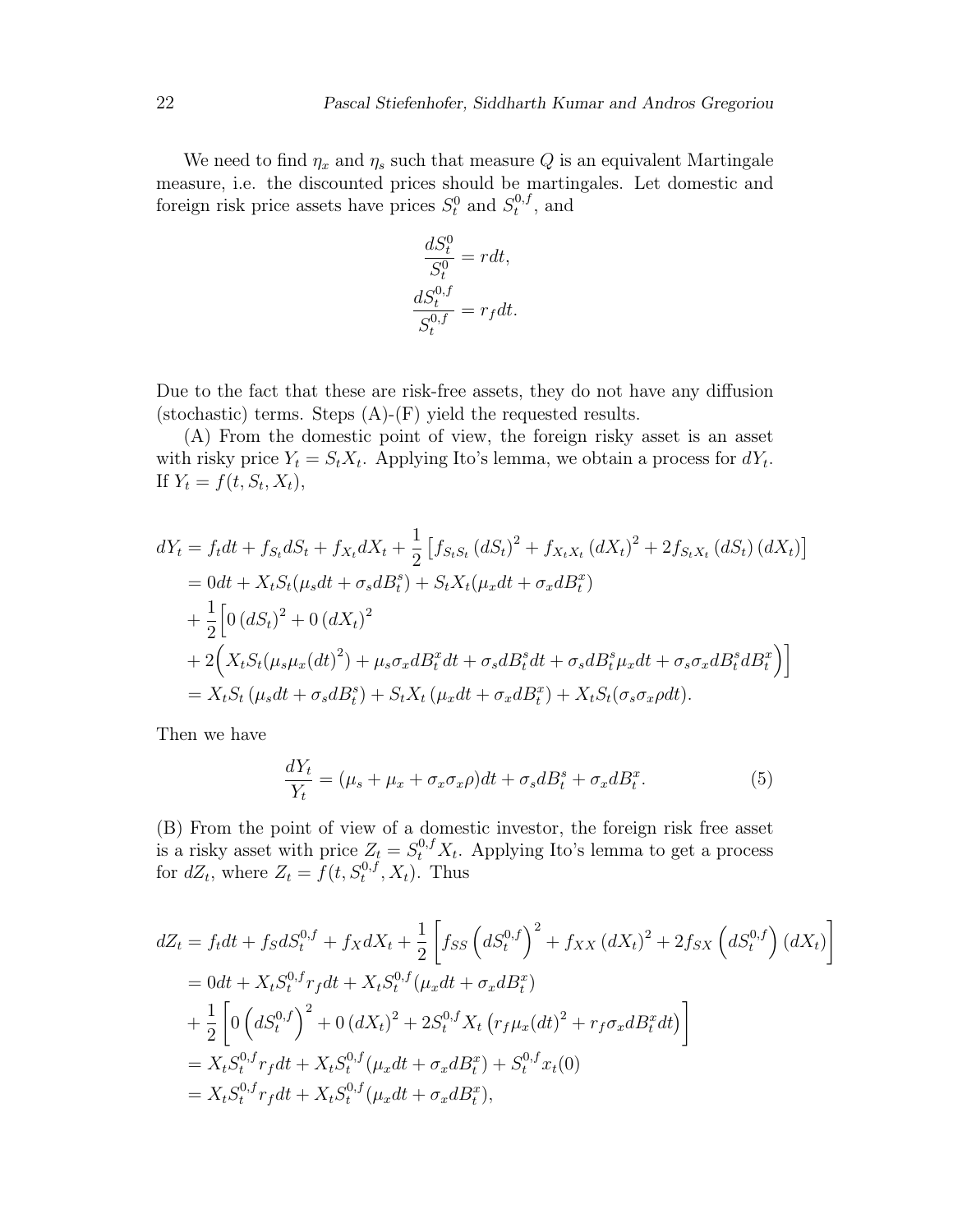We need to find  $\eta_x$  and  $\eta_s$  such that measure Q is an equivalent Martingale measure, i.e. the discounted prices should be martingales. Let domestic and foreign risk price assets have prices  $S_t^0$  and  $S_t^{0,t}$  $t^{0,J}$ , and

$$
\frac{dS_t^0}{S_t^0} = rdt,
$$
  

$$
\frac{dS_t^{0,f}}{S_t^{0,f}} = r_f dt.
$$

Due to the fact that these are risk-free assets, they do not have any diffusion (stochastic) terms. Steps  $(A)$ - $(F)$  yield the requested results.

(A) From the domestic point of view, the foreign risky asset is an asset with risky price  $Y_t = S_t X_t$ . Applying Ito's lemma, we obtain a process for  $dY_t$ . If  $Y_t = f(t, S_t, X_t),$ 

$$
dY_t = f_t dt + f_{St} dS_t + f_{X_t} dX_t + \frac{1}{2} \left[ f_{StS_t} (dS_t)^2 + f_{X_t X_t} (dX_t)^2 + 2 f_{StX_t} (dS_t) (dX_t) \right]
$$
  
= 0dt + X\_t S\_t (\mu\_s dt + \sigma\_s dB\_t^s) + S\_t X\_t (\mu\_x dt + \sigma\_x dB\_t^x)  
+ \frac{1}{2} \left[ 0 (dS\_t)^2 + 0 (dX\_t)^2 \right.  
+ 2 \left( X\_t S\_t (\mu\_s \mu\_x (dt)^2) + \mu\_s \sigma\_x dB\_t^s dt + \sigma\_s dB\_t^s dt + \sigma\_s dB\_t^s \mu\_x dt + \sigma\_s \sigma\_x dB\_t^s dB\_t^x \right) \big]   
= X\_t S\_t (\mu\_s dt + \sigma\_s dB\_t^s) + S\_t X\_t (\mu\_x dt + \sigma\_x dB\_t^s) + X\_t S\_t (\sigma\_s \sigma\_x \rho dt).

Then we have

$$
\frac{dY_t}{Y_t} = (\mu_s + \mu_x + \sigma_x \sigma_x \rho)dt + \sigma_s dB_t^s + \sigma_x dB_t^x.
$$
\n(5)

(B) From the point of view of a domestic investor, the foreign risk free asset is a risky asset with price  $Z_t = S_t^{0,f} X_t$ . Applying Ito's lemma to get a process for  $dZ_t$ , where  $Z_t = f(t, S_t^{0,t}, X_t)$ . Thus

$$
dZ_t = f_t dt + f_S dS_t^{0,f} + f_X dX_t + \frac{1}{2} \left[ f_{SS} \left( dS_t^{0,f} \right)^2 + f_{XX} \left( dX_t \right)^2 + 2f_{SX} \left( dS_t^{0,f} \right) \left( dX_t \right) \right]
$$
  
= 0dt + X\_t S\_t^{0,f} r\_f dt + X\_t S\_t^{0,f} (\mu\_x dt + \sigma\_x dB\_t^x)  
+ \frac{1}{2} \left[ 0 \left( dS\_t^{0,f} \right)^2 + 0 \left( dX\_t \right)^2 + 2S\_t^{0,f} X\_t \left( r\_f \mu\_x (dt)^2 + r\_f \sigma\_x dB\_t^x dt \right) \right]  
= X\_t S\_t^{0,f} r\_f dt + X\_t S\_t^{0,f} (\mu\_x dt + \sigma\_x dB\_t^x) + S\_t^{0,f} x\_t(0)  
= X\_t S\_t^{0,f} r\_f dt + X\_t S\_t^{0,f} (\mu\_x dt + \sigma\_x dB\_t^x),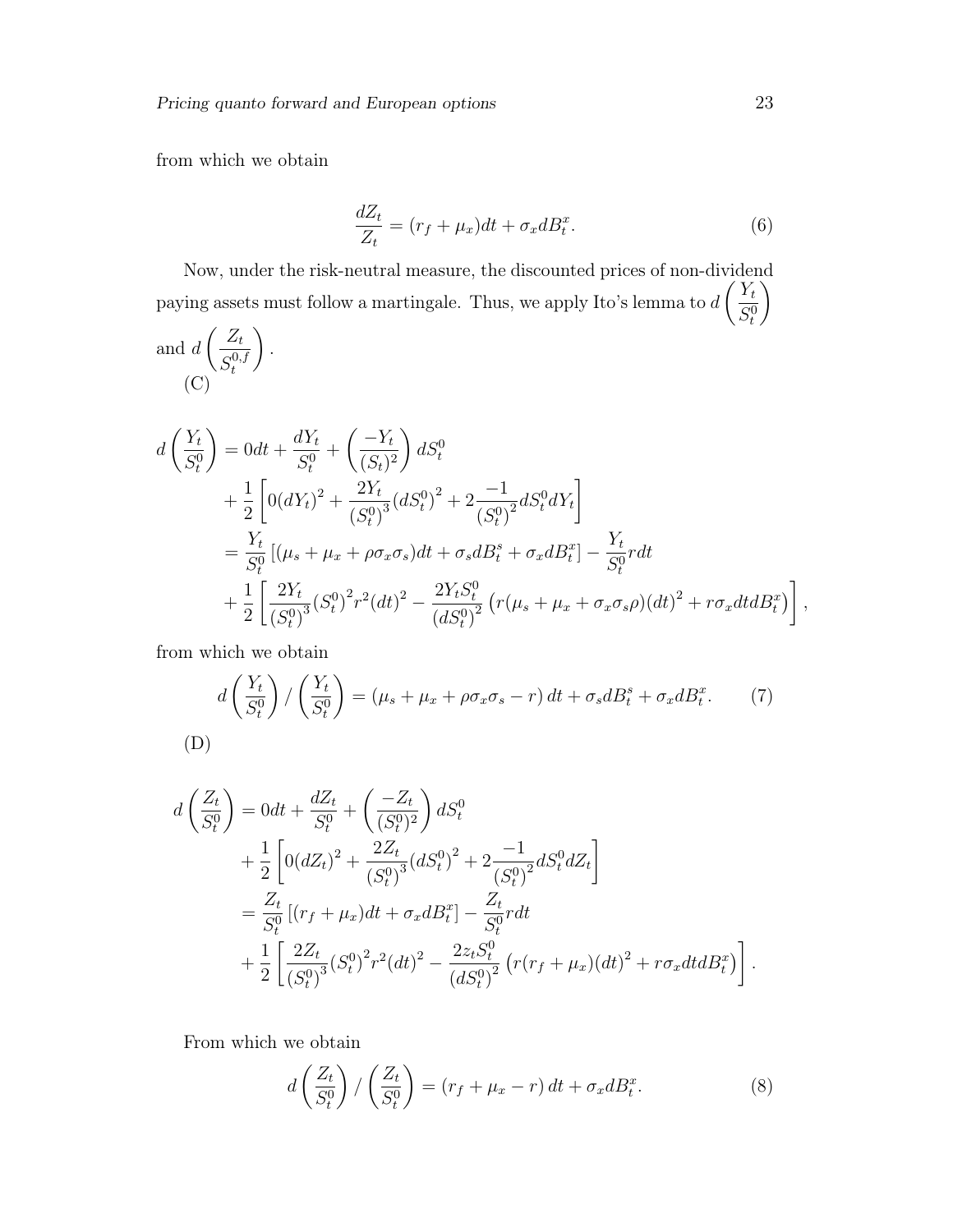from which we obtain

$$
\frac{dZ_t}{Z_t} = (r_f + \mu_x)dt + \sigma_x dB_t^x.
$$
\n(6)

Now, under the risk-neutral measure, the discounted prices of non-dividend paying assets must follow a martingale. Thus, we apply Ito's lemma to d  $\bigl(Y_t$  $S_t^0$  $\setminus$ 

and 
$$
d\left(\frac{Z_t}{S_t^{0,f}}\right)
$$
.  
\n(C)  
\n
$$
d\left(\frac{Y_t}{S_t^0}\right) = 0dt + \frac{dY_t}{S_t^0} + \left(\frac{-Y_t}{(S_t)^2}\right)dS_t^0
$$
\n
$$
+ \frac{1}{2}\left[0(dY_t)^2 + \frac{2Y_t}{(S_t^0)^3}(dS_t^0)^2 + 2\frac{-1}{(S_t^0)^2}dS_t^0dY_t\right]
$$
\n
$$
= \frac{Y_t}{S_t^0}\left[(\mu_s + \mu_x + \rho\sigma_x\sigma_s)dt + \sigma_s dB_t^s + \sigma_x dB_t^x\right] - \frac{Y_t}{S_t^0}rdt
$$
\n
$$
+ \frac{1}{2}\left[\frac{2Y_t}{(S_t^0)^3}(S_t^0)^2r^2(dt)^2 - \frac{2Y_tS_t^0}{(dS_t^0)^2}\left(r(\mu_s + \mu_x + \sigma_x\sigma_s\rho)(dt)^2 + r\sigma_x dtdB_t^x\right)\right],
$$

from which we obtain

$$
d\left(\frac{Y_t}{S_t^0}\right) / \left(\frac{Y_t}{S_t^0}\right) = (\mu_s + \mu_x + \rho \sigma_x \sigma_s - r) dt + \sigma_s dB_t^s + \sigma_x dB_t^x.
$$
 (7)  
(D)

$$
d\left(\frac{Z_t}{S_t^0}\right) = 0dt + \frac{dZ_t}{S_t^0} + \left(\frac{-Z_t}{(S_t^0)^2}\right)dS_t^0
$$
  
+ 
$$
\frac{1}{2}\left[0(dZ_t)^2 + \frac{2Z_t}{(S_t^0)^3}(dS_t^0)^2 + 2\frac{-1}{(S_t^0)^2}dS_t^0dZ_t\right]
$$
  
= 
$$
\frac{Z_t}{S_t^0}\left[(r_f + \mu_x)dt + \sigma_x dB_t^x\right] - \frac{Z_t}{S_t^0}rdt
$$
  
+ 
$$
\frac{1}{2}\left[\frac{2Z_t}{(S_t^0)^3}(S_t^0)^2r^2(dt)^2 - \frac{2z_tS_t^0}{(dS_t^0)^2}\left(r(r_f + \mu_x)(dt)^2 + r\sigma_x dt dB_t^x\right)\right].
$$

From which we obtain

$$
d\left(\frac{Z_t}{S_t^0}\right) / \left(\frac{Z_t}{S_t^0}\right) = (r_f + \mu_x - r) dt + \sigma_x dB_t^x.
$$
 (8)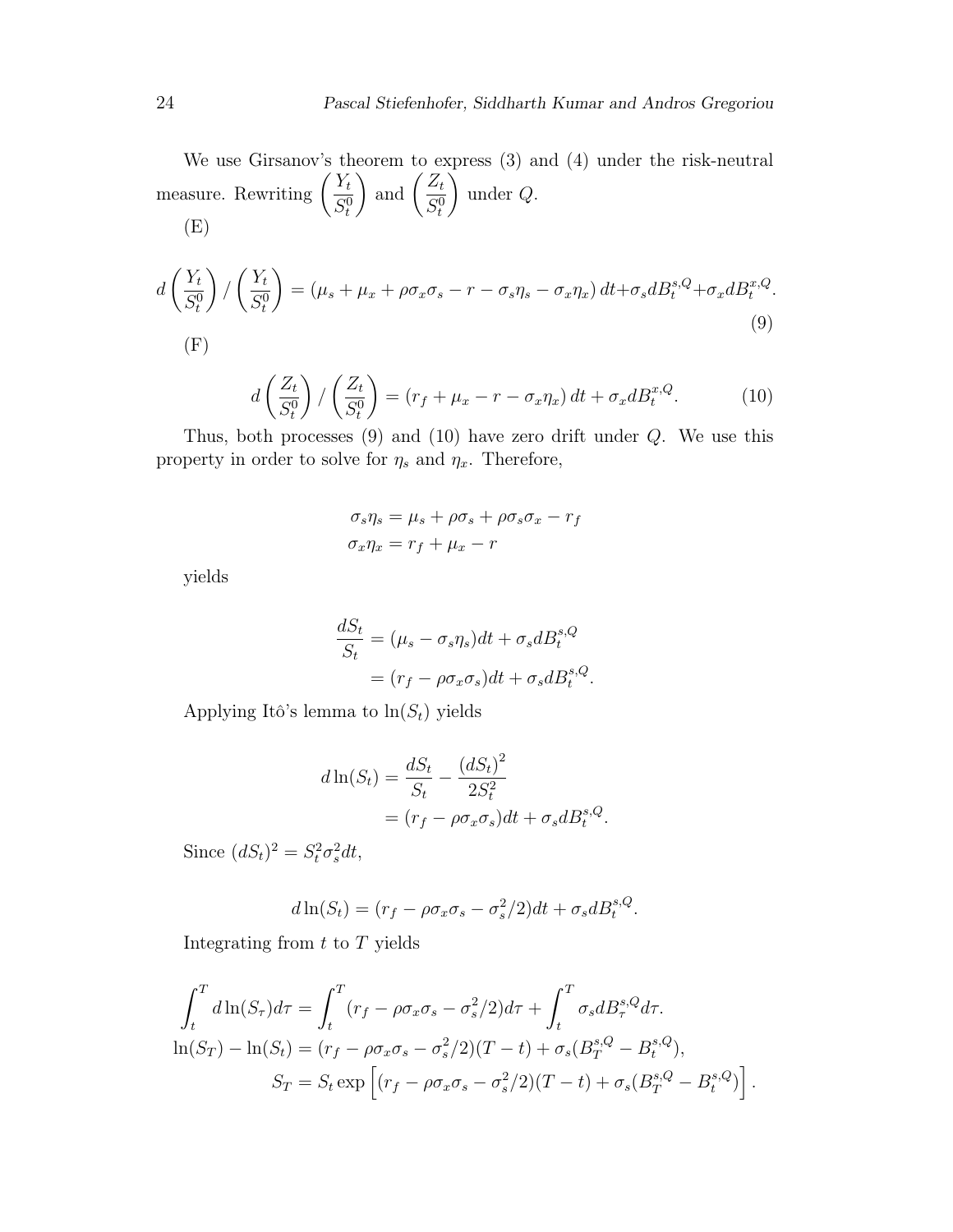We use Girsanov's theorem to express (3) and (4) under the risk-neutral measure. Rewriting  $\left(\frac{Y_t}{C} \right)$  $S_t^0$ ) and  $\left(\frac{Z_t}{C_0}\right)$  $S_t^0$  $\setminus$ under Q. (E)

$$
d\left(\frac{Y_t}{S_t^0}\right) / \left(\frac{Y_t}{S_t^0}\right) = (\mu_s + \mu_x + \rho \sigma_x \sigma_s - r - \sigma_s \eta_s - \sigma_x \eta_x) dt + \sigma_s dB_t^{s,Q} + \sigma_x dB_t^{x,Q}.
$$
\n
$$
(9)
$$

$$
d\left(\frac{Z_t}{S_t^0}\right) / \left(\frac{Z_t}{S_t^0}\right) = \left(r_f + \mu_x - r - \sigma_x \eta_x\right) dt + \sigma_x dB_t^{x,Q}.\tag{10}
$$

Thus, both processes  $(9)$  and  $(10)$  have zero drift under  $Q$ . We use this property in order to solve for  $\eta_s$  and  $\eta_x$ . Therefore,

$$
\sigma_s \eta_s = \mu_s + \rho \sigma_s + \rho \sigma_s \sigma_x - r_f
$$

$$
\sigma_x \eta_x = r_f + \mu_x - r
$$

yields

$$
\frac{dS_t}{S_t} = (\mu_s - \sigma_s \eta_s)dt + \sigma_s dB_t^{s,Q}
$$

$$
= (r_f - \rho \sigma_x \sigma_s)dt + \sigma_s dB_t^{s,Q}.
$$

Applying Itô's lemma to  $\ln(S_t)$  yields

$$
d\ln(S_t) = \frac{dS_t}{S_t} - \frac{(dS_t)^2}{2S_t^2}
$$
  
=  $(r_f - \rho \sigma_x \sigma_s)dt + \sigma_s dB_t^{s,Q}$ .

Since  $(dS_t)^2 = S_t^2 \sigma_s^2 dt$ ,

$$
d\ln(S_t) = (r_f - \rho \sigma_x \sigma_s - \sigma_s^2/2)dt + \sigma_s dB_t^{s,Q}.
$$

Integrating from  $t$  to  $T$  yields

$$
\int_{t}^{T} d\ln(S_{\tau})d\tau = \int_{t}^{T} (r_{f} - \rho \sigma_{x}\sigma_{s} - \sigma_{s}^{2}/2)d\tau + \int_{t}^{T} \sigma_{s}dB_{\tau}^{s,Q}d\tau.
$$

$$
\ln(S_{T}) - \ln(S_{t}) = (r_{f} - \rho \sigma_{x}\sigma_{s} - \sigma_{s}^{2}/2)(T - t) + \sigma_{s}(B_{T}^{s,Q} - B_{t}^{s,Q}),
$$

$$
S_{T} = S_{t} \exp\left[ (r_{f} - \rho \sigma_{x}\sigma_{s} - \sigma_{s}^{2}/2)(T - t) + \sigma_{s}(B_{T}^{s,Q} - B_{t}^{s,Q}) \right].
$$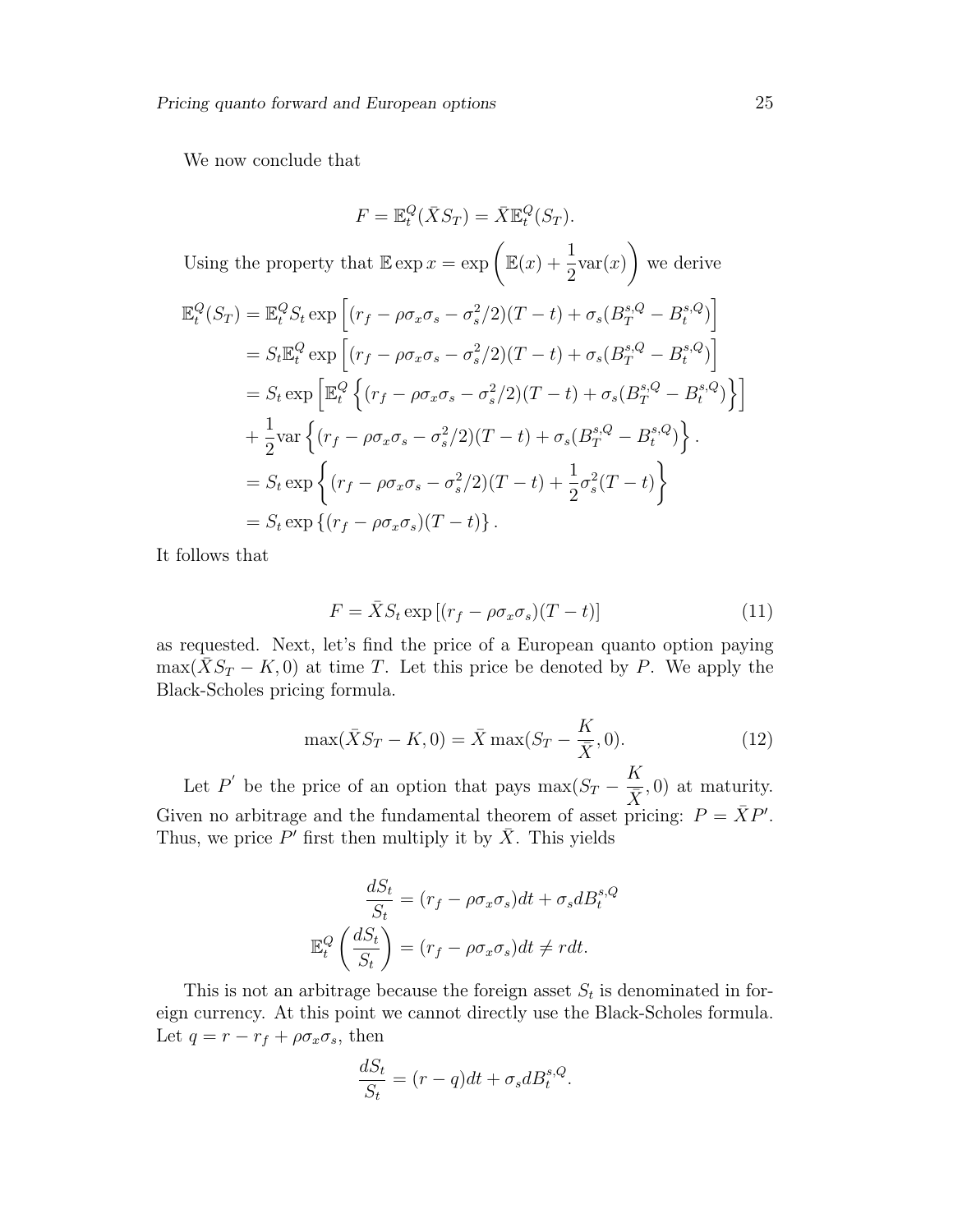We now conclude that

$$
F = \mathbb{E}^Q_t(\bar{X}S_T) = \bar{X}\mathbb{E}^Q_t(S_T).
$$

Using the property that  $\mathbb{E} \exp x = \exp \left( \mathbb{E}(x) + \frac{1}{2} \right)$ 2  $var(x)$  $\setminus$ we derive

$$
\mathbb{E}_{t}^{Q}(S_{T}) = \mathbb{E}_{t}^{Q} S_{t} \exp \left[ (r_{f} - \rho \sigma_{x} \sigma_{s} - \sigma_{s}^{2}/2)(T-t) + \sigma_{s} (B_{T}^{s,Q} - B_{t}^{s,Q}) \right]
$$
  
\n
$$
= S_{t} \mathbb{E}_{t}^{Q} \exp \left[ (r_{f} - \rho \sigma_{x} \sigma_{s} - \sigma_{s}^{2}/2)(T-t) + \sigma_{s} (B_{T}^{s,Q} - B_{t}^{s,Q}) \right]
$$
  
\n
$$
= S_{t} \exp \left[ \mathbb{E}_{t}^{Q} \left\{ (r_{f} - \rho \sigma_{x} \sigma_{s} - \sigma_{s}^{2}/2)(T-t) + \sigma_{s} (B_{T}^{s,Q} - B_{t}^{s,Q}) \right\} \right]
$$
  
\n
$$
+ \frac{1}{2} \text{var} \left\{ (r_{f} - \rho \sigma_{x} \sigma_{s} - \sigma_{s}^{2}/2)(T-t) + \sigma_{s} (B_{T}^{s,Q} - B_{t}^{s,Q}) \right\}.
$$
  
\n
$$
= S_{t} \exp \left\{ (r_{f} - \rho \sigma_{x} \sigma_{s} - \sigma_{s}^{2}/2)(T-t) + \frac{1}{2} \sigma_{s}^{2}(T-t) \right\}
$$
  
\n
$$
= S_{t} \exp \left\{ (r_{f} - \rho \sigma_{x} \sigma_{s})(T-t) \right\}.
$$

It follows that

$$
F = \bar{X}S_t \exp\left[ (r_f - \rho \sigma_x \sigma_s)(T - t) \right]
$$
\n(11)

as requested. Next, let's find the price of a European quanto option paying  $\max(\bar{X}S_T - K, 0)$  at time T. Let this price be denoted by P. We apply the Black-Scholes pricing formula.

$$
\max(\bar{X}S_T - K, 0) = \bar{X}\max(S_T - \frac{K}{\bar{X}}, 0).
$$
 (12)

Let P' be the price of an option that pays  $\max(S_T - \frac{K}{\overline{S}})$  $(\frac{\overline{x}}{\overline{X}},0)$  at maturity. Given no arbitrage and the fundamental theorem of asset pricing:  $P = \overline{X}P'$ . Thus, we price  $P'$  first then multiply it by  $\bar{X}$ . This yields

$$
\frac{dS_t}{S_t} = (r_f - \rho \sigma_x \sigma_s) dt + \sigma_s dB_t^{s,Q}
$$

$$
\mathbb{E}_t^Q \left(\frac{dS_t}{S_t}\right) = (r_f - \rho \sigma_x \sigma_s) dt \neq r dt.
$$

This is not an arbitrage because the foreign asset  $S_t$  is denominated in foreign currency. At this point we cannot directly use the Black-Scholes formula. Let  $q = r - r_f + \rho \sigma_x \sigma_s$ , then

$$
\frac{dS_t}{S_t} = (r - q)dt + \sigma_s dB_t^{s,Q}.
$$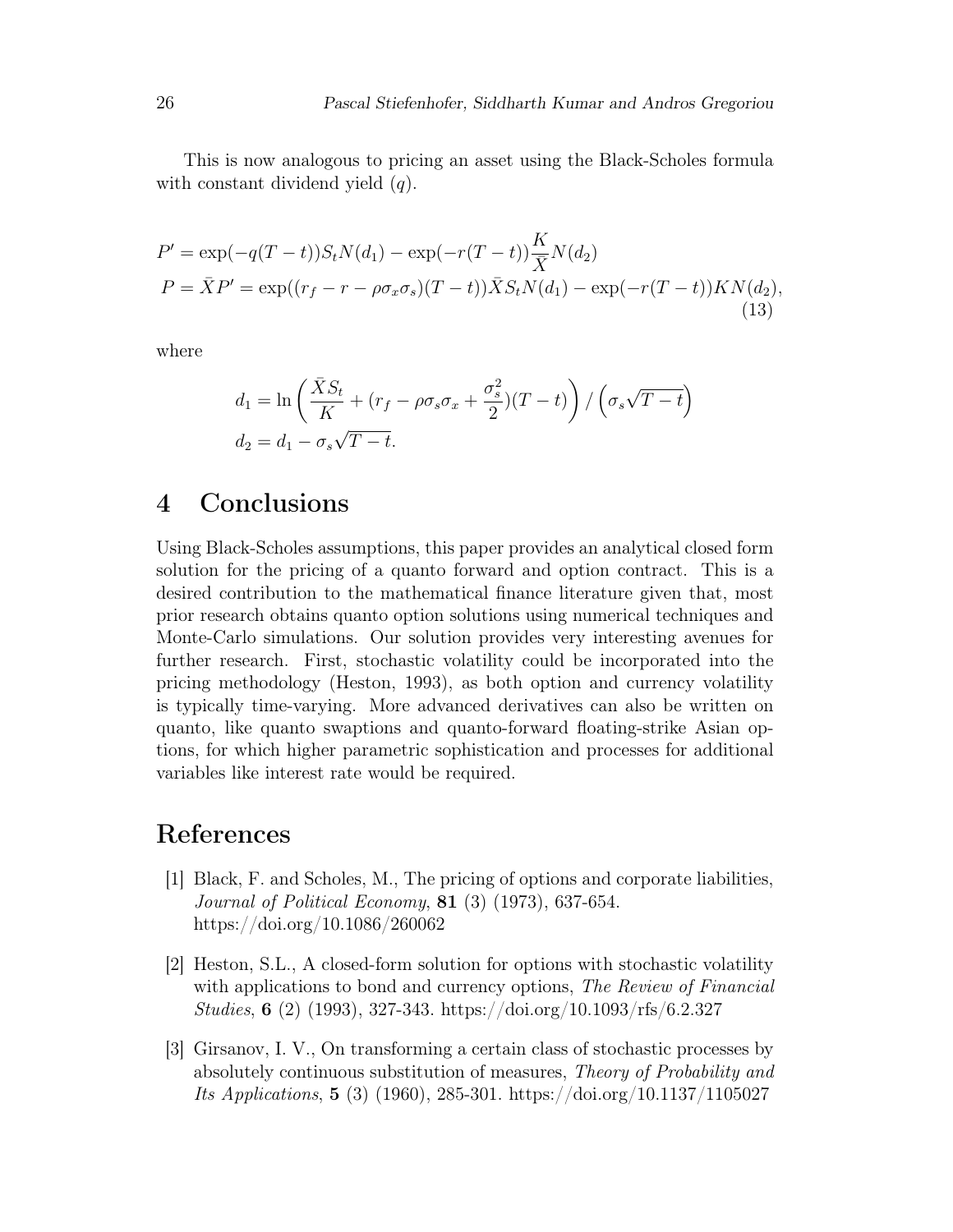This is now analogous to pricing an asset using the Black-Scholes formula with constant dividend yield  $(q)$ .

$$
P' = \exp(-q(T-t))S_tN(d_1) - \exp(-r(T-t))\frac{K}{\bar{X}}N(d_2)
$$
  
\n
$$
P = \bar{X}P' = \exp((r_f - r - \rho\sigma_x\sigma_s)(T-t))\bar{X}S_tN(d_1) - \exp(-r(T-t))KN(d_2),
$$
\n(13)

where

$$
d_1 = \ln\left(\frac{\bar{X}S_t}{K} + (r_f - \rho \sigma_s \sigma_x + \frac{\sigma_s^2}{2})(T - t)\right) / \left(\sigma_s \sqrt{T - t}\right)
$$
  

$$
d_2 = d_1 - \sigma_s \sqrt{T - t}.
$$

# 4 Conclusions

Using Black-Scholes assumptions, this paper provides an analytical closed form solution for the pricing of a quanto forward and option contract. This is a desired contribution to the mathematical finance literature given that, most prior research obtains quanto option solutions using numerical techniques and Monte-Carlo simulations. Our solution provides very interesting avenues for further research. First, stochastic volatility could be incorporated into the pricing methodology (Heston, 1993), as both option and currency volatility is typically time-varying. More advanced derivatives can also be written on quanto, like quanto swaptions and quanto-forward floating-strike Asian options, for which higher parametric sophistication and processes for additional variables like interest rate would be required.

# References

- [1] Black, F. and Scholes, M., The pricing of options and corporate liabilities, Journal of Political Economy, 81 (3) (1973), 637-654. https://doi.org/10.1086/260062
- [2] Heston, S.L., A closed-form solution for options with stochastic volatility with applications to bond and currency options, The Review of Financial Studies, 6 (2) (1993), 327-343. https://doi.org/10.1093/rfs/6.2.327
- [3] Girsanov, I. V., On transforming a certain class of stochastic processes by absolutely continuous substitution of measures, Theory of Probability and Its Applications, 5 (3) (1960), 285-301. https://doi.org/10.1137/1105027